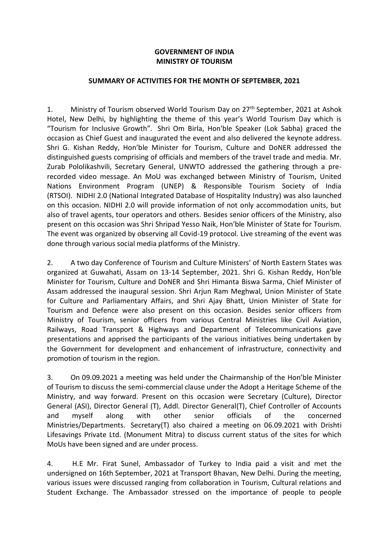## **GOVERNMENT OF INDIA MINISTRY OF TOURISM**

## **SUMMARY OF ACTIVITIES FOR THE MONTH OF SEPTEMBER, 2021**

1. Ministry of Tourism observed World Tourism Day on 27<sup>th</sup> September, 2021 at Ashok Hotel, New Delhi, by highlighting the theme of this year's World Tourism Day which is "Tourism for Inclusive Growth". Shri Om Birla, Hon'ble Speaker (Lok Sabha) graced the occasion as Chief Guest and inaugurated the event and also delivered the keynote address. Shri G. Kishan Reddy, Hon'ble Minister for Tourism, Culture and DoNER addressed the distinguished guests comprising of officials and members of the travel trade and media. Mr. Zurab Pololikashvili, Secretary General, UNWTO addressed the gathering through a prerecorded video message. An MoU was exchanged between Ministry of Tourism, United Nations Environment Program (UNEP) & Responsible Tourism Society of India (RTSOI). NIDHI 2.0 (National Integrated Database of Hospitality Industry) was also launched on this occasion. NIDHI 2.0 will provide information of not only accommodation units, but also of travel agents, tour operators and others. Besides senior officers of the Ministry, also present on this occasion was Shri Shripad Yesso Naik, Hon'ble Minister of State for Tourism. The event was organized by observing all Covid-19 protocol. Live streaming of the event was done through various social media platforms of the Ministry.

2. A two day Conference of Tourism and Culture Ministers' of North Eastern States was organized at Guwahati, Assam on 13-14 September, 2021. Shri G. Kishan Reddy, Hon'ble Minister for Tourism, Culture and DoNER and Shri Himanta Biswa Sarma, Chief Minister of Assam addressed the inaugural session. Shri Arjun Ram Meghwal, Union Minister of State for Culture and Parliamentary Affairs, and Shri Ajay Bhatt, Union Minister of State for Tourism and Defence were also present on this occasion. Besides senior officers from Ministry of Tourism, senior officers from various Central Ministries like Civil Aviation, Railways, Road Transport & Highways and Department of Telecommunications gave presentations and apprised the participants of the various initiatives being undertaken by the Government for development and enhancement of infrastructure, connectivity and promotion of tourism in the region.

3. On 09.09.2021 a meeting was held under the Chairmanship of the Hon'ble Minister of Tourism to discuss the semi-commercial clause under the Adopt a Heritage Scheme of the Ministry, and way forward. Present on this occasion were Secretary (Culture), Director General (ASI), Director General (T), Addl. Director General(T), Chief Controller of Accounts and myself along with other senior officials of the concerned Ministries/Departments. Secretary(T) also chaired a meeting on 06.09.2021 with Drishti Lifesavings Private Ltd. (Monument Mitra) to discuss current status of the sites for which MoUs have been signed and are under process.

4. H.E Mr. Firat Sunel, Ambassador of Turkey to India paid a visit and met the undersigned on 16th September, 2021 at Transport Bhavan, New Delhi. During the meeting, various issues were discussed ranging from collaboration in Tourism, Cultural relations and Student Exchange. The Ambassador stressed on the importance of people to people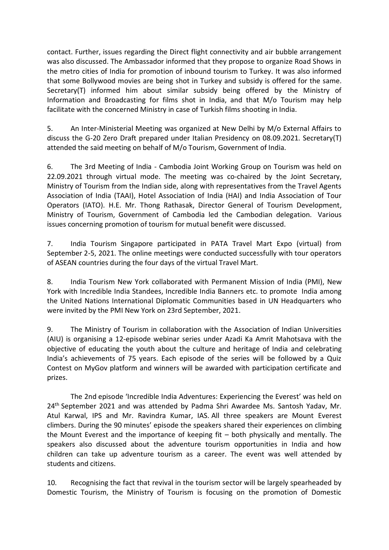contact. Further, issues regarding the Direct flight connectivity and air bubble arrangement was also discussed. The Ambassador informed that they propose to organize Road Shows in the metro cities of India for promotion of inbound tourism to Turkey. It was also informed that some Bollywood movies are being shot in Turkey and subsidy is offered for the same. Secretary(T) informed him about similar subsidy being offered by the Ministry of Information and Broadcasting for films shot in India, and that M/o Tourism may help facilitate with the concerned Ministry in case of Turkish films shooting in India.

5. An Inter-Ministerial Meeting was organized at New Delhi by M/o External Affairs to discuss the G-20 Zero Draft prepared under Italian Presidency on 08.09.2021. Secretary(T) attended the said meeting on behalf of M/o Tourism, Government of India.

6. The 3rd Meeting of India - Cambodia Joint Working Group on Tourism was held on 22.09.2021 through virtual mode. The meeting was co-chaired by the Joint Secretary, Ministry of Tourism from the Indian side, along with representatives from the Travel Agents Association of India (TAAI), Hotel Association of India (HAI) and India Association of Tour Operators (IATO). H.E. Mr. Thong Rathasak, Director General of Tourism Development, Ministry of Tourism, Government of Cambodia led the Cambodian delegation. Various issues concerning promotion of tourism for mutual benefit were discussed.

7. India Tourism Singapore participated in PATA Travel Mart Expo (virtual) from September 2-5, 2021. The online meetings were conducted successfully with tour operators of ASEAN countries during the four days of the virtual Travel Mart.

8. India Tourism New York collaborated with Permanent Mission of India (PMI), New York with Incredible India Standees, Incredible India Banners etc. to promote India among the United Nations International Diplomatic Communities based in UN Headquarters who were invited by the PMI New York on 23rd September, 2021.

9. The Ministry of Tourism in collaboration with the Association of Indian Universities (AIU) is organising a 12-episode webinar series under Azadi Ka Amrit Mahotsava with the objective of educating the youth about the culture and heritage of India and celebrating India's achievements of 75 years. Each episode of the series will be followed by a Quiz Contest on MyGov platform and winners will be awarded with participation certificate and prizes.

The 2nd episode 'Incredible India Adventures: Experiencing the Everest' was held on 24<sup>th</sup> September 2021 and was attended by Padma Shri Awardee Ms. Santosh Yadav, Mr. Atul Karwal, IPS and Mr. Ravindra Kumar, IAS. All three speakers are Mount Everest climbers. During the 90 minutes' episode the speakers shared their experiences on climbing the Mount Everest and the importance of keeping fit – both physically and mentally. The speakers also discussed about the adventure tourism opportunities in India and how children can take up adventure tourism as a career. The event was well attended by students and citizens.

10. Recognising the fact that revival in the tourism sector will be largely spearheaded by Domestic Tourism, the Ministry of Tourism is focusing on the promotion of Domestic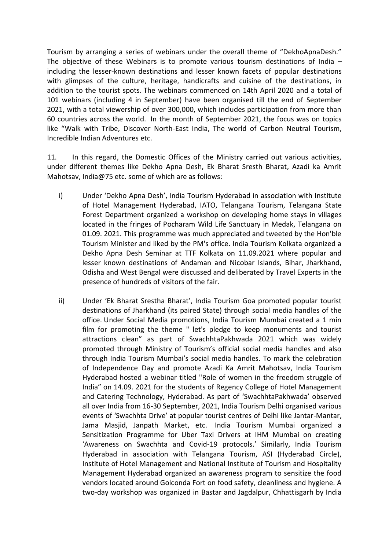Tourism by arranging a series of webinars under the overall theme of "DekhoApnaDesh." The objective of these Webinars is to promote various tourism destinations of India – including the lesser-known destinations and lesser known facets of popular destinations with glimpses of the culture, heritage, handicrafts and cuisine of the destinations, in addition to the tourist spots. The webinars commenced on 14th April 2020 and a total of 101 webinars (including 4 in September) have been organised till the end of September 2021, with a total viewership of over 300,000, which includes participation from more than 60 countries across the world. In the month of September 2021, the focus was on topics like "Walk with Tribe, Discover North-East India, The world of Carbon Neutral Tourism, Incredible Indian Adventures etc.

11. In this regard, the Domestic Offices of the Ministry carried out various activities, under different themes like Dekho Apna Desh, Ek Bharat Sresth Bharat, Azadi ka Amrit Mahotsav, India@75 etc. some of which are as follows:

- i) Under 'Dekho Apna Desh', India Tourism Hyderabad in association with Institute of Hotel Management Hyderabad, IATO, Telangana Tourism, Telangana State Forest Department organized a workshop on developing home stays in villages located in the fringes of Pocharam Wild Life Sanctuary in Medak, Telangana on 01.09. 2021. This programme was much appreciated and tweeted by the Hon'ble Tourism Minister and liked by the PM's office. India Tourism Kolkata organized a Dekho Apna Desh Seminar at TTF Kolkata on 11.09.2021 where popular and lesser known destinations of Andaman and Nicobar Islands, Bihar, Jharkhand, Odisha and West Bengal were discussed and deliberated by Travel Experts in the presence of hundreds of visitors of the fair.
- ii) Under 'Ek Bharat Srestha Bharat', India Tourism Goa promoted popular tourist destinations of Jharkhand (its paired State) through social media handles of the office. Under Social Media promotions, India Tourism Mumbai created a 1 min film for promoting the theme " let's pledge to keep monuments and tourist attractions clean" as part of SwachhtaPakhwada 2021 which was widely promoted through Ministry of Tourism's official social media handles and also through India Tourism Mumbai's social media handles. To mark the celebration of Independence Day and promote Azadi Ka Amrit Mahotsav, India Tourism Hyderabad hosted a webinar titled "Role of women in the freedom struggle of India" on 14.09. 2021 for the students of Regency College of Hotel Management and Catering Technology, Hyderabad. As part of 'SwachhtaPakhwada' observed all over India from 16-30 September, 2021, India Tourism Delhi organised various events of 'Swachhta Drive' at popular tourist centres of Delhi like Jantar-Mantar, Jama Masjid, Janpath Market, etc. India Tourism Mumbai organized a Sensitization Programme for Uber Taxi Drivers at IHM Mumbai on creating 'Awareness on Swachhta and Covid-19 protocols.' Similarly, India Tourism Hyderabad in association with Telangana Tourism, ASI (Hyderabad Circle), Institute of Hotel Management and National Institute of Tourism and Hospitality Management Hyderabad organized an awareness program to sensitize the food vendors located around Golconda Fort on food safety, cleanliness and hygiene. A two-day workshop was organized in Bastar and Jagdalpur, Chhattisgarh by India